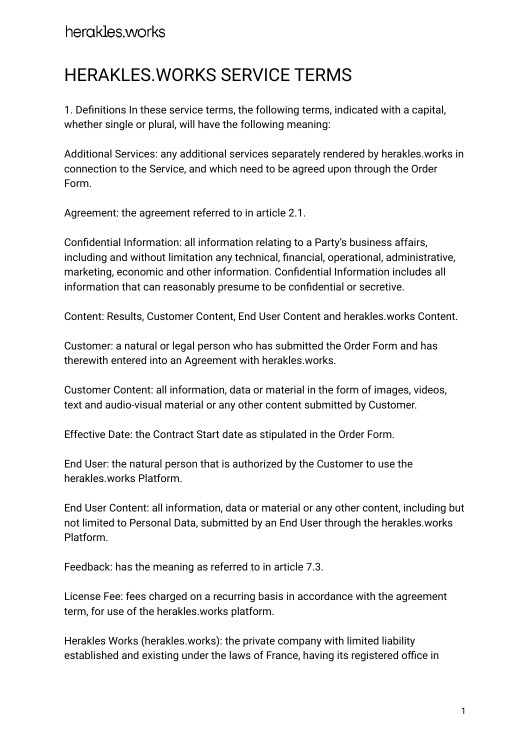# herakles.works

# HERAKLES.WORKS SERVICE TERMS

1. Definitions In these service terms, the following terms, indicated with a capital, whether single or plural, will have the following meaning:

Additional Services: any additional services separately rendered by herakles.works in connection to the Service, and which need to be agreed upon through the Order Form.

Agreement: the agreement referred to in article 2.1.

Confidential Information: all information relating to a Party's business affairs, including and without limitation any technical, financial, operational, administrative, marketing, economic and other information. Confidential Information includes all information that can reasonably presume to be confidential or secretive.

Content: Results, Customer Content, End User Content and herakles.works Content.

Customer: a natural or legal person who has submitted the Order Form and has therewith entered into an Agreement with herakles.works.

Customer Content: all information, data or material in the form of images, videos, text and audio-visual material or any other content submitted by Customer.

Effective Date: the Contract Start date as stipulated in the Order Form.

End User: the natural person that is authorized by the Customer to use the herakles.works Platform.

End User Content: all information, data or material or any other content, including but not limited to Personal Data, submitted by an End User through the herakles.works Platform.

Feedback: has the meaning as referred to in article 7.3.

License Fee: fees charged on a recurring basis in accordance with the agreement term, for use of the herakles.works platform.

Herakles Works (herakles.works): the private company with limited liability established and existing under the laws of France, having its registered office in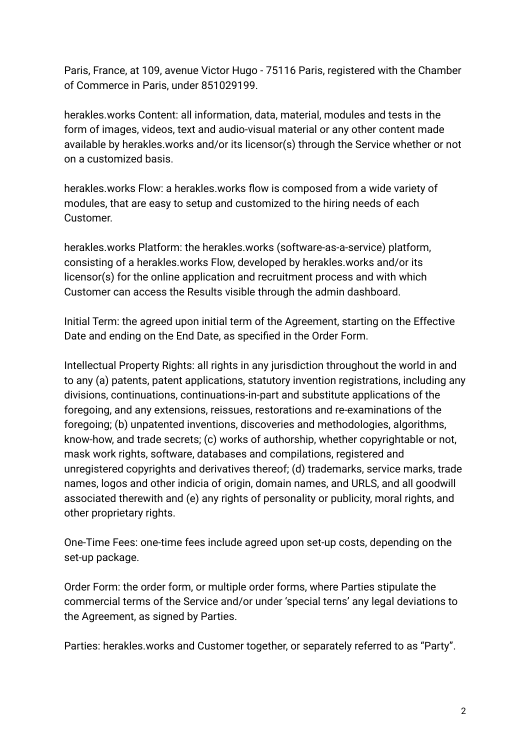Paris, France, at 109, avenue Victor Hugo - 75116 Paris, registered with the Chamber of Commerce in Paris, under 851029199.

herakles.works Content: all information, data, material, modules and tests in the form of images, videos, text and audio-visual material or any other content made available by herakles.works and/or its licensor(s) through the Service whether or not on a customized basis.

herakles.works Flow: a herakles.works flow is composed from a wide variety of modules, that are easy to setup and customized to the hiring needs of each Customer.

herakles.works Platform: the herakles.works (software-as-a-service) platform, consisting of a herakles.works Flow, developed by herakles.works and/or its licensor(s) for the online application and recruitment process and with which Customer can access the Results visible through the admin dashboard.

Initial Term: the agreed upon initial term of the Agreement, starting on the Effective Date and ending on the End Date, as specified in the Order Form.

Intellectual Property Rights: all rights in any jurisdiction throughout the world in and to any (a) patents, patent applications, statutory invention registrations, including any divisions, continuations, continuations-in-part and substitute applications of the foregoing, and any extensions, reissues, restorations and re-examinations of the foregoing; (b) unpatented inventions, discoveries and methodologies, algorithms, know-how, and trade secrets; (c) works of authorship, whether copyrightable or not, mask work rights, software, databases and compilations, registered and unregistered copyrights and derivatives thereof; (d) trademarks, service marks, trade names, logos and other indicia of origin, domain names, and URLS, and all goodwill associated therewith and (e) any rights of personality or publicity, moral rights, and other proprietary rights.

One-Time Fees: one-time fees include agreed upon set-up costs, depending on the set-up package.

Order Form: the order form, or multiple order forms, where Parties stipulate the commercial terms of the Service and/or under 'special terns' any legal deviations to the Agreement, as signed by Parties.

Parties: herakles.works and Customer together, or separately referred to as "Party".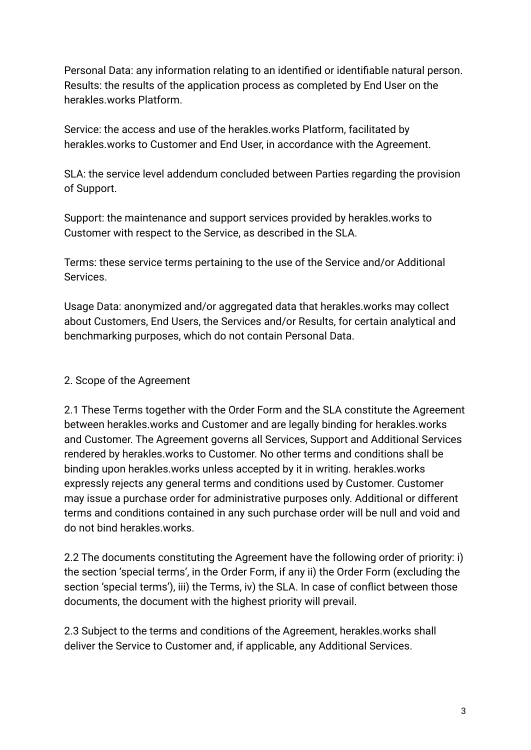Personal Data: any information relating to an identified or identifiable natural person. Results: the results of the application process as completed by End User on the herakles.works Platform.

Service: the access and use of the herakles.works Platform, facilitated by herakles.works to Customer and End User, in accordance with the Agreement.

SLA: the service level addendum concluded between Parties regarding the provision of Support.

Support: the maintenance and support services provided by herakles.works to Customer with respect to the Service, as described in the SLA.

Terms: these service terms pertaining to the use of the Service and/or Additional Services.

Usage Data: anonymized and/or aggregated data that herakles.works may collect about Customers, End Users, the Services and/or Results, for certain analytical and benchmarking purposes, which do not contain Personal Data.

# 2. Scope of the Agreement

2.1 These Terms together with the Order Form and the SLA constitute the Agreement between herakles.works and Customer and are legally binding for herakles.works and Customer. The Agreement governs all Services, Support and Additional Services rendered by herakles.works to Customer. No other terms and conditions shall be binding upon herakles.works unless accepted by it in writing. herakles.works expressly rejects any general terms and conditions used by Customer. Customer may issue a purchase order for administrative purposes only. Additional or different terms and conditions contained in any such purchase order will be null and void and do not bind herakles.works.

2.2 The documents constituting the Agreement have the following order of priority: i) the section 'special terms', in the Order Form, if any ii) the Order Form (excluding the section 'special terms'), iii) the Terms, iv) the SLA. In case of conflict between those documents, the document with the highest priority will prevail.

2.3 Subject to the terms and conditions of the Agreement, herakles.works shall deliver the Service to Customer and, if applicable, any Additional Services.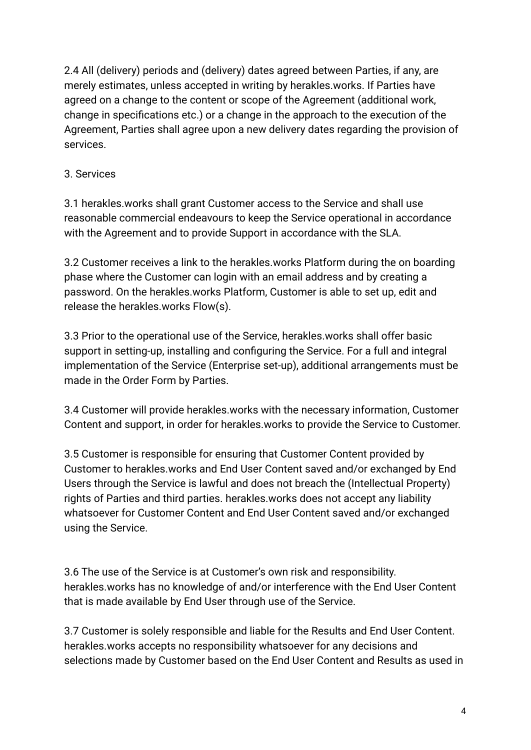2.4 All (delivery) periods and (delivery) dates agreed between Parties, if any, are merely estimates, unless accepted in writing by herakles.works. If Parties have agreed on a change to the content or scope of the Agreement (additional work, change in specifications etc.) or a change in the approach to the execution of the Agreement, Parties shall agree upon a new delivery dates regarding the provision of services.

# 3. Services

3.1 herakles.works shall grant Customer access to the Service and shall use reasonable commercial endeavours to keep the Service operational in accordance with the Agreement and to provide Support in accordance with the SLA.

3.2 Customer receives a link to the herakles.works Platform during the on boarding phase where the Customer can login with an email address and by creating a password. On the herakles.works Platform, Customer is able to set up, edit and release the herakles.works Flow(s).

3.3 Prior to the operational use of the Service, herakles.works shall offer basic support in setting-up, installing and configuring the Service. For a full and integral implementation of the Service (Enterprise set-up), additional arrangements must be made in the Order Form by Parties.

3.4 Customer will provide herakles.works with the necessary information, Customer Content and support, in order for herakles.works to provide the Service to Customer.

3.5 Customer is responsible for ensuring that Customer Content provided by Customer to herakles.works and End User Content saved and/or exchanged by End Users through the Service is lawful and does not breach the (Intellectual Property) rights of Parties and third parties. herakles.works does not accept any liability whatsoever for Customer Content and End User Content saved and/or exchanged using the Service.

3.6 The use of the Service is at Customer's own risk and responsibility. herakles.works has no knowledge of and/or interference with the End User Content that is made available by End User through use of the Service.

3.7 Customer is solely responsible and liable for the Results and End User Content. herakles.works accepts no responsibility whatsoever for any decisions and selections made by Customer based on the End User Content and Results as used in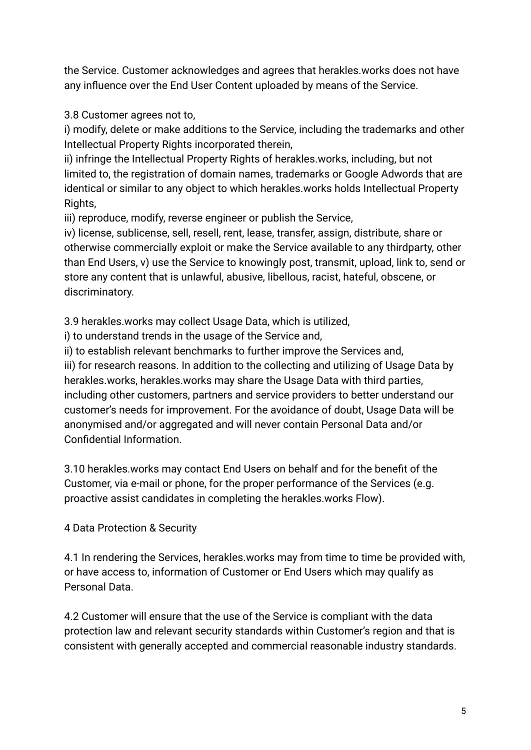the Service. Customer acknowledges and agrees that herakles.works does not have any influence over the End User Content uploaded by means of the Service.

3.8 Customer agrees not to,

i) modify, delete or make additions to the Service, including the trademarks and other Intellectual Property Rights incorporated therein,

ii) infringe the Intellectual Property Rights of herakles.works, including, but not limited to, the registration of domain names, trademarks or Google Adwords that are identical or similar to any object to which herakles.works holds Intellectual Property Rights,

iii) reproduce, modify, reverse engineer or publish the Service,

iv) license, sublicense, sell, resell, rent, lease, transfer, assign, distribute, share or otherwise commercially exploit or make the Service available to any thirdparty, other than End Users, v) use the Service to knowingly post, transmit, upload, link to, send or store any content that is unlawful, abusive, libellous, racist, hateful, obscene, or discriminatory.

3.9 herakles.works may collect Usage Data, which is utilized,

i) to understand trends in the usage of the Service and,

ii) to establish relevant benchmarks to further improve the Services and,

iii) for research reasons. In addition to the collecting and utilizing of Usage Data by herakles.works, herakles.works may share the Usage Data with third parties, including other customers, partners and service providers to better understand our customer's needs for improvement. For the avoidance of doubt, Usage Data will be anonymised and/or aggregated and will never contain Personal Data and/or Confidential Information.

3.10 herakles.works may contact End Users on behalf and for the benefit of the Customer, via e-mail or phone, for the proper performance of the Services (e.g. proactive assist candidates in completing the herakles.works Flow).

4 Data Protection & Security

4.1 In rendering the Services, herakles.works may from time to time be provided with, or have access to, information of Customer or End Users which may qualify as Personal Data.

4.2 Customer will ensure that the use of the Service is compliant with the data protection law and relevant security standards within Customer's region and that is consistent with generally accepted and commercial reasonable industry standards.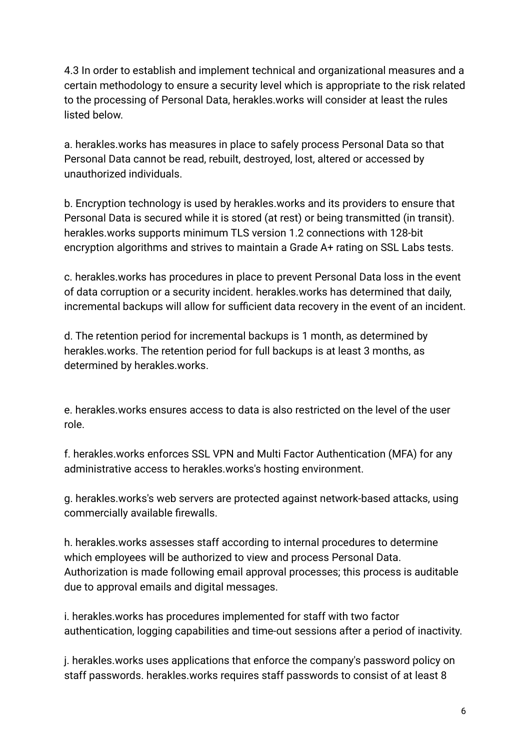4.3 In order to establish and implement technical and organizational measures and a certain methodology to ensure a security level which is appropriate to the risk related to the processing of Personal Data, herakles.works will consider at least the rules listed below.

a. herakles.works has measures in place to safely process Personal Data so that Personal Data cannot be read, rebuilt, destroyed, lost, altered or accessed by unauthorized individuals.

b. Encryption technology is used by herakles.works and its providers to ensure that Personal Data is secured while it is stored (at rest) or being transmitted (in transit). herakles.works supports minimum TLS version 1.2 connections with 128-bit encryption algorithms and strives to maintain a Grade A+ rating on SSL Labs tests.

c. herakles.works has procedures in place to prevent Personal Data loss in the event of data corruption or a security incident. herakles.works has determined that daily, incremental backups will allow for sufficient data recovery in the event of an incident.

d. The retention period for incremental backups is 1 month, as determined by herakles.works. The retention period for full backups is at least 3 months, as determined by herakles.works.

e. herakles.works ensures access to data is also restricted on the level of the user role.

f. herakles.works enforces SSL VPN and Multi Factor Authentication (MFA) for any administrative access to herakles.works's hosting environment.

g. herakles.works's web servers are protected against network-based attacks, using commercially available firewalls.

h. herakles.works assesses staff according to internal procedures to determine which employees will be authorized to view and process Personal Data. Authorization is made following email approval processes; this process is auditable due to approval emails and digital messages.

i. herakles.works has procedures implemented for staff with two factor authentication, logging capabilities and time-out sessions after a period of inactivity.

j. herakles.works uses applications that enforce the company's password policy on staff passwords. herakles.works requires staff passwords to consist of at least 8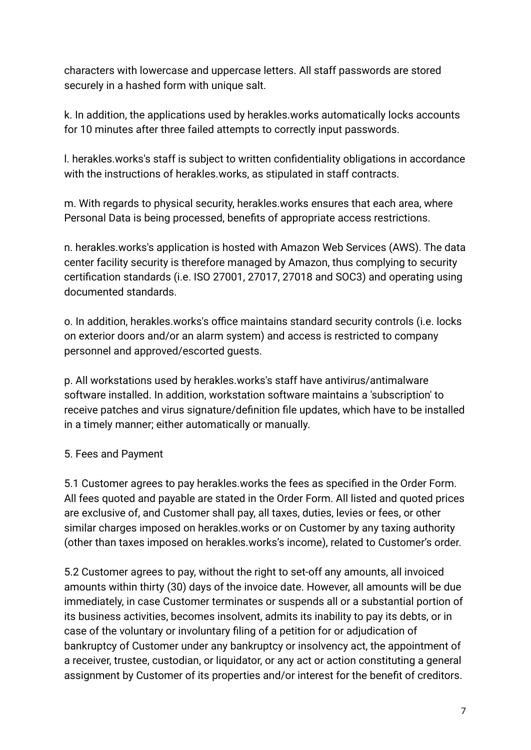characters with lowercase and uppercase letters. All staff passwords are stored securely in a hashed form with unique salt.

k. In addition, the applications used by herakles.works automatically locks accounts for 10 minutes after three failed attempts to correctly input passwords.

l. herakles.works's staff is subject to written confidentiality obligations in accordance with the instructions of herakles.works, as stipulated in staff contracts.

m. With regards to physical security, herakles.works ensures that each area, where Personal Data is being processed, benefits of appropriate access restrictions.

n. herakles.works's application is hosted with Amazon Web Services (AWS). The data center facility security is therefore managed by Amazon, thus complying to security certification standards (i.e. ISO 27001, 27017, 27018 and SOC3) and operating using documented standards.

o. In addition, herakles.works's office maintains standard security controls (i.e. locks on exterior doors and/or an alarm system) and access is restricted to company personnel and approved/escorted guests.

p. All workstations used by herakles.works's staff have antivirus/antimalware software installed. In addition, workstation software maintains a 'subscription' to receive patches and virus signature/definition file updates, which have to be installed in a timely manner; either automatically or manually.

# 5. Fees and Payment

5.1 Customer agrees to pay herakles.works the fees as specified in the Order Form. All fees quoted and payable are stated in the Order Form. All listed and quoted prices are exclusive of, and Customer shall pay, all taxes, duties, levies or fees, or other similar charges imposed on herakles.works or on Customer by any taxing authority (other than taxes imposed on herakles.works's income), related to Customer's order.

5.2 Customer agrees to pay, without the right to set-off any amounts, all invoiced amounts within thirty (30) days of the invoice date. However, all amounts will be due immediately, in case Customer terminates or suspends all or a substantial portion of its business activities, becomes insolvent, admits its inability to pay its debts, or in case of the voluntary or involuntary filing of a petition for or adjudication of bankruptcy of Customer under any bankruptcy or insolvency act, the appointment of a receiver, trustee, custodian, or liquidator, or any act or action constituting a general assignment by Customer of its properties and/or interest for the benefit of creditors.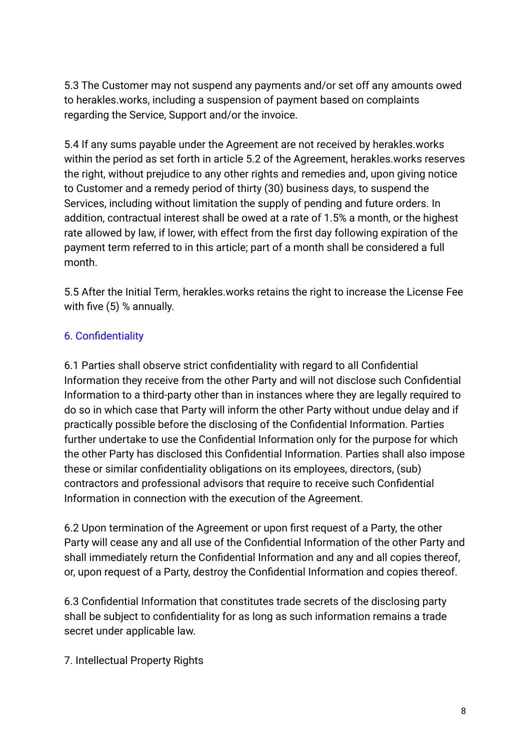5.3 The Customer may not suspend any payments and/or set off any amounts owed to herakles.works, including a suspension of payment based on complaints regarding the Service, Support and/or the invoice.

5.4 If any sums payable under the Agreement are not received by herakles.works within the period as set forth in article 5.2 of the Agreement, herakles.works reserves the right, without prejudice to any other rights and remedies and, upon giving notice to Customer and a remedy period of thirty (30) business days, to suspend the Services, including without limitation the supply of pending and future orders. In addition, contractual interest shall be owed at a rate of 1.5% a month, or the highest rate allowed by law, if lower, with effect from the first day following expiration of the payment term referred to in this article; part of a month shall be considered a full month.

5.5 After the Initial Term, herakles.works retains the right to increase the License Fee with five (5) % annually.

# 6. Confidentiality

6.1 Parties shall observe strict confidentiality with regard to all Confidential Information they receive from the other Party and will not disclose such Confidential Information to a third-party other than in instances where they are legally required to do so in which case that Party will inform the other Party without undue delay and if practically possible before the disclosing of the Confidential Information. Parties further undertake to use the Confidential Information only for the purpose for which the other Party has disclosed this Confidential Information. Parties shall also impose these or similar confidentiality obligations on its employees, directors, (sub) contractors and professional advisors that require to receive such Confidential Information in connection with the execution of the Agreement.

6.2 Upon termination of the Agreement or upon first request of a Party, the other Party will cease any and all use of the Confidential Information of the other Party and shall immediately return the Confidential Information and any and all copies thereof, or, upon request of a Party, destroy the Confidential Information and copies thereof.

6.3 Confidential Information that constitutes trade secrets of the disclosing party shall be subject to confidentiality for as long as such information remains a trade secret under applicable law.

#### 7. Intellectual Property Rights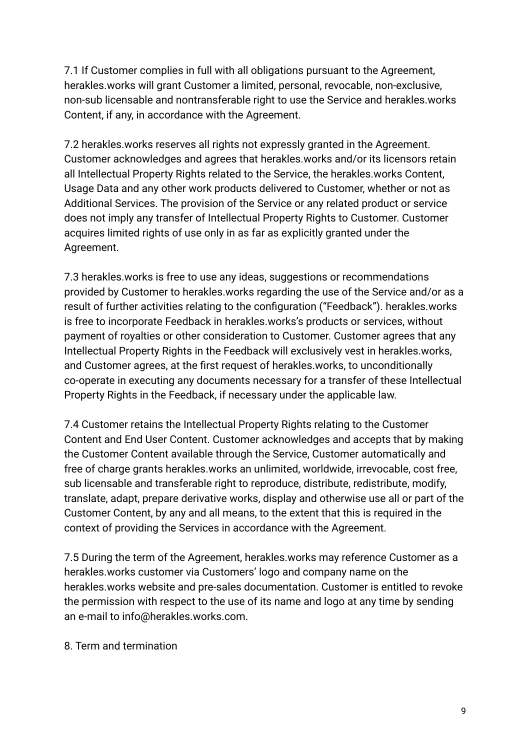7.1 If Customer complies in full with all obligations pursuant to the Agreement, herakles.works will grant Customer a limited, personal, revocable, non-exclusive, non-sub licensable and nontransferable right to use the Service and herakles.works Content, if any, in accordance with the Agreement.

7.2 herakles.works reserves all rights not expressly granted in the Agreement. Customer acknowledges and agrees that herakles.works and/or its licensors retain all Intellectual Property Rights related to the Service, the herakles.works Content, Usage Data and any other work products delivered to Customer, whether or not as Additional Services. The provision of the Service or any related product or service does not imply any transfer of Intellectual Property Rights to Customer. Customer acquires limited rights of use only in as far as explicitly granted under the Agreement.

7.3 herakles.works is free to use any ideas, suggestions or recommendations provided by Customer to herakles.works regarding the use of the Service and/or as a result of further activities relating to the configuration ("Feedback"). herakles.works is free to incorporate Feedback in herakles.works's products or services, without payment of royalties or other consideration to Customer. Customer agrees that any Intellectual Property Rights in the Feedback will exclusively vest in herakles.works, and Customer agrees, at the first request of herakles.works, to unconditionally co-operate in executing any documents necessary for a transfer of these Intellectual Property Rights in the Feedback, if necessary under the applicable law.

7.4 Customer retains the Intellectual Property Rights relating to the Customer Content and End User Content. Customer acknowledges and accepts that by making the Customer Content available through the Service, Customer automatically and free of charge grants herakles.works an unlimited, worldwide, irrevocable, cost free, sub licensable and transferable right to reproduce, distribute, redistribute, modify, translate, adapt, prepare derivative works, display and otherwise use all or part of the Customer Content, by any and all means, to the extent that this is required in the context of providing the Services in accordance with the Agreement.

7.5 During the term of the Agreement, herakles.works may reference Customer as a herakles.works customer via Customers' logo and company name on the herakles.works website and pre-sales documentation. Customer is entitled to revoke the permission with respect to the use of its name and logo at any time by sending an e-mail to info@herakles.works.com.

8. Term and termination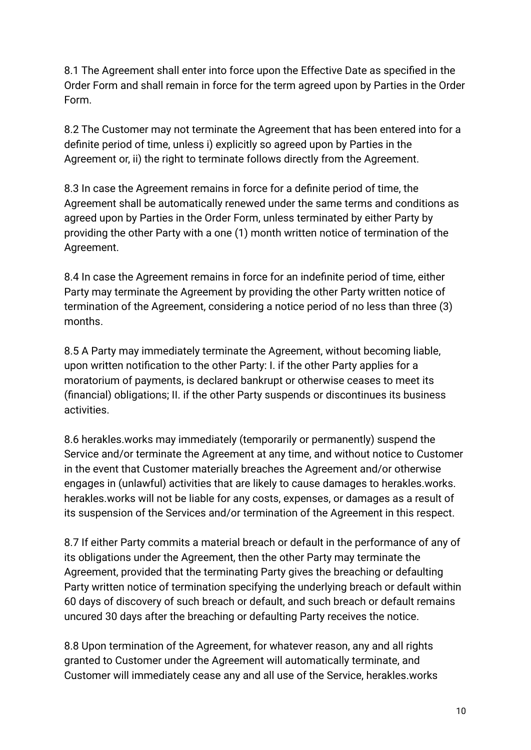8.1 The Agreement shall enter into force upon the Effective Date as specified in the Order Form and shall remain in force for the term agreed upon by Parties in the Order Form.

8.2 The Customer may not terminate the Agreement that has been entered into for a definite period of time, unless i) explicitly so agreed upon by Parties in the Agreement or, ii) the right to terminate follows directly from the Agreement.

8.3 In case the Agreement remains in force for a definite period of time, the Agreement shall be automatically renewed under the same terms and conditions as agreed upon by Parties in the Order Form, unless terminated by either Party by providing the other Party with a one (1) month written notice of termination of the Agreement.

8.4 In case the Agreement remains in force for an indefinite period of time, either Party may terminate the Agreement by providing the other Party written notice of termination of the Agreement, considering a notice period of no less than three (3) months.

8.5 A Party may immediately terminate the Agreement, without becoming liable, upon written notification to the other Party: I. if the other Party applies for a moratorium of payments, is declared bankrupt or otherwise ceases to meet its (financial) obligations; II. if the other Party suspends or discontinues its business activities.

8.6 herakles.works may immediately (temporarily or permanently) suspend the Service and/or terminate the Agreement at any time, and without notice to Customer in the event that Customer materially breaches the Agreement and/or otherwise engages in (unlawful) activities that are likely to cause damages to herakles.works. herakles.works will not be liable for any costs, expenses, or damages as a result of its suspension of the Services and/or termination of the Agreement in this respect.

8.7 If either Party commits a material breach or default in the performance of any of its obligations under the Agreement, then the other Party may terminate the Agreement, provided that the terminating Party gives the breaching or defaulting Party written notice of termination specifying the underlying breach or default within 60 days of discovery of such breach or default, and such breach or default remains uncured 30 days after the breaching or defaulting Party receives the notice.

8.8 Upon termination of the Agreement, for whatever reason, any and all rights granted to Customer under the Agreement will automatically terminate, and Customer will immediately cease any and all use of the Service, herakles.works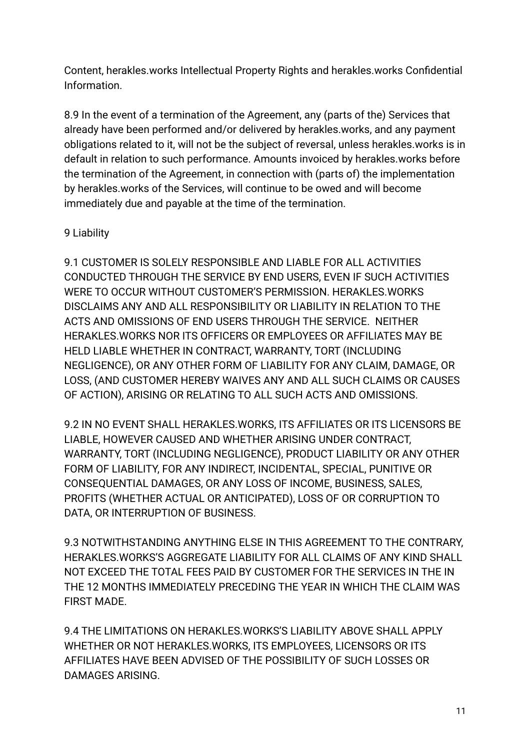Content, herakles.works Intellectual Property Rights and herakles.works Confidential Information.

8.9 In the event of a termination of the Agreement, any (parts of the) Services that already have been performed and/or delivered by herakles.works, and any payment obligations related to it, will not be the subject of reversal, unless herakles.works is in default in relation to such performance. Amounts invoiced by herakles.works before the termination of the Agreement, in connection with (parts of) the implementation by herakles.works of the Services, will continue to be owed and will become immediately due and payable at the time of the termination.

### 9 Liability

9.1 CUSTOMER IS SOLELY RESPONSIBLE AND LIABLE FOR ALL ACTIVITIES CONDUCTED THROUGH THE SERVICE BY END USERS, EVEN IF SUCH ACTIVITIES WERE TO OCCUR WITHOUT CUSTOMER'S PERMISSION. HERAKLES.WORKS DISCLAIMS ANY AND ALL RESPONSIBILITY OR LIABILITY IN RELATION TO THE ACTS AND OMISSIONS OF END USERS THROUGH THE SERVICE. NEITHER HERAKLES.WORKS NOR ITS OFFICERS OR EMPLOYEES OR AFFILIATES MAY BE HELD LIABLE WHETHER IN CONTRACT, WARRANTY, TORT (INCLUDING NEGLIGENCE), OR ANY OTHER FORM OF LIABILITY FOR ANY CLAIM, DAMAGE, OR LOSS, (AND CUSTOMER HEREBY WAIVES ANY AND ALL SUCH CLAIMS OR CAUSES OF ACTION), ARISING OR RELATING TO ALL SUCH ACTS AND OMISSIONS.

9.2 IN NO EVENT SHALL HERAKLES.WORKS, ITS AFFILIATES OR ITS LICENSORS BE LIABLE, HOWEVER CAUSED AND WHETHER ARISING UNDER CONTRACT, WARRANTY, TORT (INCLUDING NEGLIGENCE), PRODUCT LIABILITY OR ANY OTHER FORM OF LIABILITY, FOR ANY INDIRECT, INCIDENTAL, SPECIAL, PUNITIVE OR CONSEQUENTIAL DAMAGES, OR ANY LOSS OF INCOME, BUSINESS, SALES, PROFITS (WHETHER ACTUAL OR ANTICIPATED), LOSS OF OR CORRUPTION TO DATA, OR INTERRUPTION OF BUSINESS.

9.3 NOTWITHSTANDING ANYTHING ELSE IN THIS AGREEMENT TO THE CONTRARY, HERAKLES.WORKS'S AGGREGATE LIABILITY FOR ALL CLAIMS OF ANY KIND SHALL NOT EXCEED THE TOTAL FEES PAID BY CUSTOMER FOR THE SERVICES IN THE IN THE 12 MONTHS IMMEDIATELY PRECEDING THE YEAR IN WHICH THE CLAIM WAS FIRST MADE.

9.4 THE LIMITATIONS ON HERAKLES.WORKS'S LIABILITY ABOVE SHALL APPLY WHETHER OR NOT HERAKLES.WORKS, ITS EMPLOYEES, LICENSORS OR ITS AFFILIATES HAVE BEEN ADVISED OF THE POSSIBILITY OF SUCH LOSSES OR DAMAGES ARISING.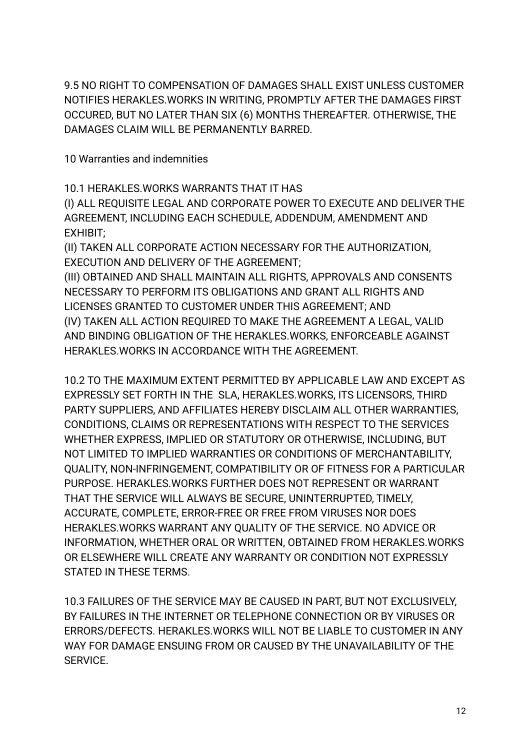9.5 NO RIGHT TO COMPENSATION OF DAMAGES SHALL EXIST UNLESS CUSTOMER NOTIFIES HERAKLES.WORKS IN WRITING, PROMPTLY AFTER THE DAMAGES FIRST OCCURED, BUT NO LATER THAN SIX (6) MONTHS THEREAFTER. OTHERWISE, THE DAMAGES CLAIM WILL BE PERMANENTLY BARRED.

10 Warranties and indemnities

10.1 HERAKLES.WORKS WARRANTS THAT IT HAS

(I) ALL REQUISITE LEGAL AND CORPORATE POWER TO EXECUTE AND DELIVER THE AGREEMENT, INCLUDING EACH SCHEDULE, ADDENDUM, AMENDMENT AND EXHIBIT;

(II) TAKEN ALL CORPORATE ACTION NECESSARY FOR THE AUTHORIZATION, EXECUTION AND DELIVERY OF THE AGREEMENT;

(III) OBTAINED AND SHALL MAINTAIN ALL RIGHTS, APPROVALS AND CONSENTS NECESSARY TO PERFORM ITS OBLIGATIONS AND GRANT ALL RIGHTS AND LICENSES GRANTED TO CUSTOMER UNDER THIS AGREEMENT; AND (IV) TAKEN ALL ACTION REQUIRED TO MAKE THE AGREEMENT A LEGAL, VALID AND BINDING OBLIGATION OF THE HERAKLES.WORKS, ENFORCEABLE AGAINST HERAKLES.WORKS IN ACCORDANCE WITH THE AGREEMENT.

10.2 TO THE MAXIMUM EXTENT PERMITTED BY APPLICABLE LAW AND EXCEPT AS EXPRESSLY SET FORTH IN THE SLA, HERAKLES.WORKS, ITS LICENSORS, THIRD PARTY SUPPLIERS, AND AFFILIATES HEREBY DISCLAIM ALL OTHER WARRANTIES, CONDITIONS, CLAIMS OR REPRESENTATIONS WITH RESPECT TO THE SERVICES WHETHER EXPRESS, IMPLIED OR STATUTORY OR OTHERWISE, INCLUDING, BUT NOT LIMITED TO IMPLIED WARRANTIES OR CONDITIONS OF MERCHANTABILITY, QUALITY, NON-INFRINGEMENT, COMPATIBILITY OR OF FITNESS FOR A PARTICULAR PURPOSE. HERAKLES.WORKS FURTHER DOES NOT REPRESENT OR WARRANT THAT THE SERVICE WILL ALWAYS BE SECURE, UNINTERRUPTED, TIMELY, ACCURATE, COMPLETE, ERROR-FREE OR FREE FROM VIRUSES NOR DOES HERAKLES.WORKS WARRANT ANY QUALITY OF THE SERVICE. NO ADVICE OR INFORMATION, WHETHER ORAL OR WRITTEN, OBTAINED FROM HERAKLES.WORKS OR ELSEWHERE WILL CREATE ANY WARRANTY OR CONDITION NOT EXPRESSLY STATED IN THESE TERMS.

10.3 FAILURES OF THE SERVICE MAY BE CAUSED IN PART, BUT NOT EXCLUSIVELY, BY FAILURES IN THE INTERNET OR TELEPHONE CONNECTION OR BY VIRUSES OR ERRORS/DEFECTS. HERAKLES.WORKS WILL NOT BE LIABLE TO CUSTOMER IN ANY WAY FOR DAMAGE ENSUING FROM OR CAUSED BY THE UNAVAILABILITY OF THE SERVICE.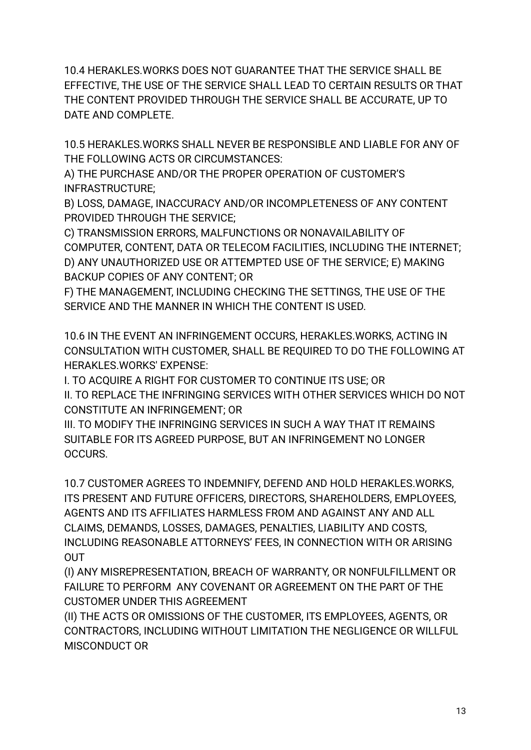10.4 HERAKLES.WORKS DOES NOT GUARANTEE THAT THE SERVICE SHALL BE EFFECTIVE, THE USE OF THE SERVICE SHALL LEAD TO CERTAIN RESULTS OR THAT THE CONTENT PROVIDED THROUGH THE SERVICE SHALL BE ACCURATE, UP TO DATE AND COMPLETE.

10.5 HERAKLES.WORKS SHALL NEVER BE RESPONSIBLE AND LIABLE FOR ANY OF THE FOLLOWING ACTS OR CIRCUMSTANCES:

A) THE PURCHASE AND/OR THE PROPER OPERATION OF CUSTOMER'S INFRASTRUCTURE;

B) LOSS, DAMAGE, INACCURACY AND/OR INCOMPLETENESS OF ANY CONTENT PROVIDED THROUGH THE SERVICE;

C) TRANSMISSION ERRORS, MALFUNCTIONS OR NONAVAILABILITY OF COMPUTER, CONTENT, DATA OR TELECOM FACILITIES, INCLUDING THE INTERNET; D) ANY UNAUTHORIZED USE OR ATTEMPTED USE OF THE SERVICE; E) MAKING BACKUP COPIES OF ANY CONTENT; OR

F) THE MANAGEMENT, INCLUDING CHECKING THE SETTINGS, THE USE OF THE SERVICE AND THE MANNER IN WHICH THE CONTENT IS USED.

10.6 IN THE EVENT AN INFRINGEMENT OCCURS, HERAKLES.WORKS, ACTING IN CONSULTATION WITH CUSTOMER, SHALL BE REQUIRED TO DO THE FOLLOWING AT HERAKLES.WORKS' EXPENSE:

I. TO ACQUIRE A RIGHT FOR CUSTOMER TO CONTINUE ITS USE; OR

II. TO REPLACE THE INFRINGING SERVICES WITH OTHER SERVICES WHICH DO NOT CONSTITUTE AN INFRINGEMENT; OR

III. TO MODIFY THE INFRINGING SERVICES IN SUCH A WAY THAT IT REMAINS SUITABLE FOR ITS AGREED PURPOSE, BUT AN INFRINGEMENT NO LONGER OCCURS.

10.7 CUSTOMER AGREES TO INDEMNIFY, DEFEND AND HOLD HERAKLES.WORKS, ITS PRESENT AND FUTURE OFFICERS, DIRECTORS, SHAREHOLDERS, EMPLOYEES, AGENTS AND ITS AFFILIATES HARMLESS FROM AND AGAINST ANY AND ALL CLAIMS, DEMANDS, LOSSES, DAMAGES, PENALTIES, LIABILITY AND COSTS, INCLUDING REASONABLE ATTORNEYS' FEES, IN CONNECTION WITH OR ARISING **OUT** 

(I) ANY MISREPRESENTATION, BREACH OF WARRANTY, OR NONFULFILLMENT OR FAILURE TO PERFORM ANY COVENANT OR AGREEMENT ON THE PART OF THE CUSTOMER UNDER THIS AGREEMENT

(II) THE ACTS OR OMISSIONS OF THE CUSTOMER, ITS EMPLOYEES, AGENTS, OR CONTRACTORS, INCLUDING WITHOUT LIMITATION THE NEGLIGENCE OR WILLFUL MISCONDUCT OR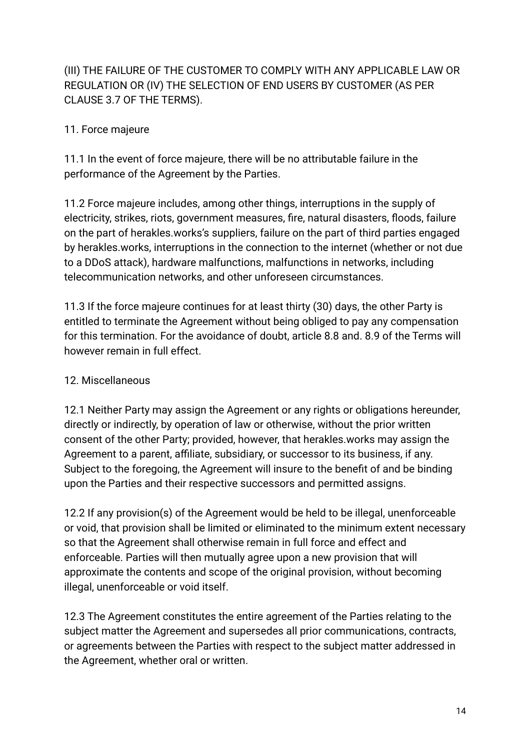# (III) THE FAILURE OF THE CUSTOMER TO COMPLY WITH ANY APPLICABLE LAW OR REGULATION OR (IV) THE SELECTION OF END USERS BY CUSTOMER (AS PER CLAUSE 3.7 OF THE TERMS).

# 11. Force majeure

11.1 In the event of force majeure, there will be no attributable failure in the performance of the Agreement by the Parties.

11.2 Force majeure includes, among other things, interruptions in the supply of electricity, strikes, riots, government measures, fire, natural disasters, floods, failure on the part of herakles.works's suppliers, failure on the part of third parties engaged by herakles.works, interruptions in the connection to the internet (whether or not due to a DDoS attack), hardware malfunctions, malfunctions in networks, including telecommunication networks, and other unforeseen circumstances.

11.3 If the force majeure continues for at least thirty (30) days, the other Party is entitled to terminate the Agreement without being obliged to pay any compensation for this termination. For the avoidance of doubt, article 8.8 and. 8.9 of the Terms will however remain in full effect.

# 12. Miscellaneous

12.1 Neither Party may assign the Agreement or any rights or obligations hereunder, directly or indirectly, by operation of law or otherwise, without the prior written consent of the other Party; provided, however, that herakles.works may assign the Agreement to a parent, affiliate, subsidiary, or successor to its business, if any. Subject to the foregoing, the Agreement will insure to the benefit of and be binding upon the Parties and their respective successors and permitted assigns.

12.2 If any provision(s) of the Agreement would be held to be illegal, unenforceable or void, that provision shall be limited or eliminated to the minimum extent necessary so that the Agreement shall otherwise remain in full force and effect and enforceable. Parties will then mutually agree upon a new provision that will approximate the contents and scope of the original provision, without becoming illegal, unenforceable or void itself.

12.3 The Agreement constitutes the entire agreement of the Parties relating to the subject matter the Agreement and supersedes all prior communications, contracts, or agreements between the Parties with respect to the subject matter addressed in the Agreement, whether oral or written.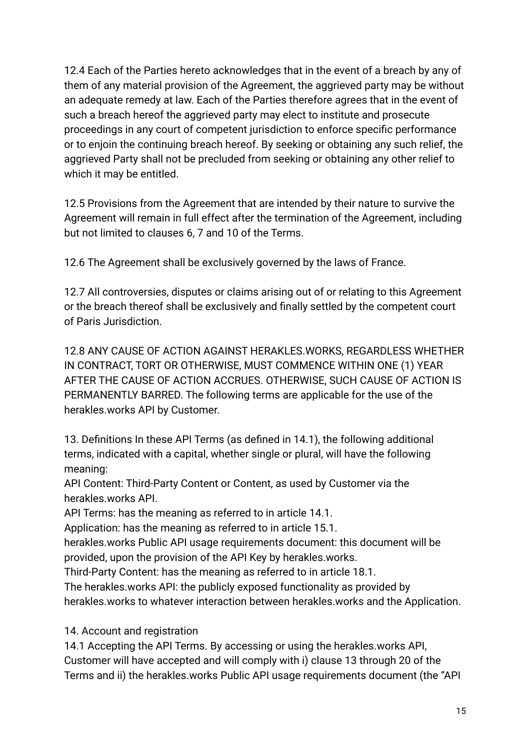12.4 Each of the Parties hereto acknowledges that in the event of a breach by any of them of any material provision of the Agreement, the aggrieved party may be without an adequate remedy at law. Each of the Parties therefore agrees that in the event of such a breach hereof the aggrieved party may elect to institute and prosecute proceedings in any court of competent jurisdiction to enforce specific performance or to enjoin the continuing breach hereof. By seeking or obtaining any such relief, the aggrieved Party shall not be precluded from seeking or obtaining any other relief to which it may be entitled.

12.5 Provisions from the Agreement that are intended by their nature to survive the Agreement will remain in full effect after the termination of the Agreement, including but not limited to clauses 6, 7 and 10 of the Terms.

12.6 The Agreement shall be exclusively governed by the laws of France.

12.7 All controversies, disputes or claims arising out of or relating to this Agreement or the breach thereof shall be exclusively and finally settled by the competent court of Paris Jurisdiction.

12.8 ANY CAUSE OF ACTION AGAINST HERAKLES.WORKS, REGARDLESS WHETHER IN CONTRACT, TORT OR OTHERWISE, MUST COMMENCE WITHIN ONE (1) YEAR AFTER THE CAUSE OF ACTION ACCRUES. OTHERWISE, SUCH CAUSE OF ACTION IS PERMANENTLY BARRED. The following terms are applicable for the use of the herakles.works API by Customer.

13. Definitions In these API Terms (as defined in 14.1), the following additional terms, indicated with a capital, whether single or plural, will have the following meaning:

API Content: Third-Party Content or Content, as used by Customer via the herakles.works API.

API Terms: has the meaning as referred to in article 14.1.

Application: has the meaning as referred to in article 15.1.

herakles.works Public API usage requirements document: this document will be provided, upon the provision of the API Key by herakles.works.

Third-Party Content: has the meaning as referred to in article 18.1.

The herakles.works API: the publicly exposed functionality as provided by herakles.works to whatever interaction between herakles.works and the Application.

14. Account and registration

14.1 Accepting the API Terms. By accessing or using the herakles.works API, Customer will have accepted and will comply with i) clause 13 through 20 of the Terms and ii) the herakles.works Public API usage requirements document (the "API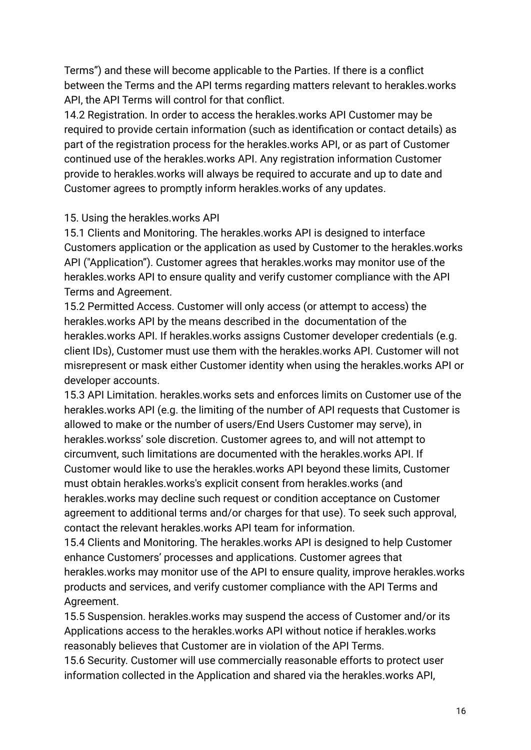Terms") and these will become applicable to the Parties. If there is a conflict between the Terms and the API terms regarding matters relevant to herakles.works API, the API Terms will control for that conflict.

14.2 Registration. In order to access the herakles.works API Customer may be required to provide certain information (such as identification or contact details) as part of the registration process for the herakles.works API, or as part of Customer continued use of the herakles.works API. Any registration information Customer provide to herakles.works will always be required to accurate and up to date and Customer agrees to promptly inform herakles.works of any updates.

# 15. Using the herakles.works API

15.1 Clients and Monitoring. The herakles.works API is designed to interface Customers application or the application as used by Customer to the herakles.works API ("Application"). Customer agrees that herakles.works may monitor use of the herakles.works API to ensure quality and verify customer compliance with the API Terms and Agreement.

15.2 Permitted Access. Customer will only access (or attempt to access) the herakles.works API by the means described in the documentation of the herakles.works API. If herakles.works assigns Customer developer credentials (e.g. client IDs), Customer must use them with the herakles.works API. Customer will not misrepresent or mask either Customer identity when using the herakles.works API or developer accounts.

15.3 API Limitation. herakles.works sets and enforces limits on Customer use of the herakles.works API (e.g. the limiting of the number of API requests that Customer is allowed to make or the number of users/End Users Customer may serve), in herakles.workss' sole discretion. Customer agrees to, and will not attempt to circumvent, such limitations are documented with the herakles.works API. If Customer would like to use the herakles.works API beyond these limits, Customer must obtain herakles.works's explicit consent from herakles.works (and herakles.works may decline such request or condition acceptance on Customer agreement to additional terms and/or charges for that use). To seek such approval, contact the relevant herakles.works API team for information.

15.4 Clients and Monitoring. The herakles.works API is designed to help Customer enhance Customers' processes and applications. Customer agrees that herakles.works may monitor use of the API to ensure quality, improve herakles.works products and services, and verify customer compliance with the API Terms and Agreement.

15.5 Suspension. herakles.works may suspend the access of Customer and/or its Applications access to the herakles.works API without notice if herakles.works reasonably believes that Customer are in violation of the API Terms.

15.6 Security. Customer will use commercially reasonable efforts to protect user information collected in the Application and shared via the herakles.works API,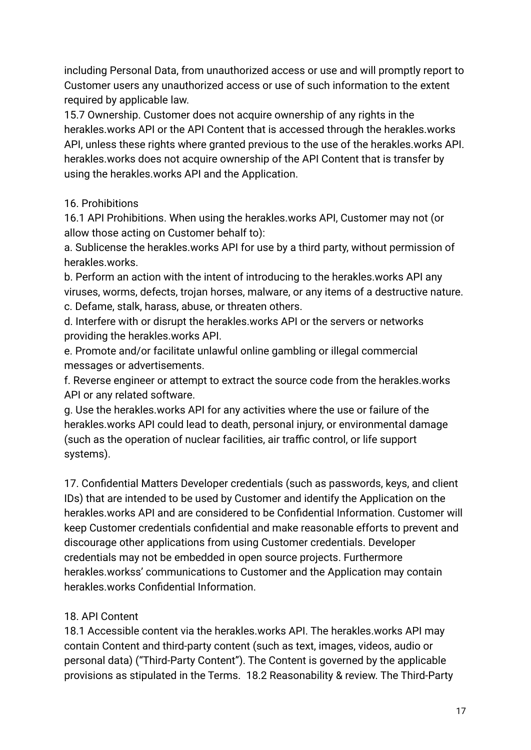including Personal Data, from unauthorized access or use and will promptly report to Customer users any unauthorized access or use of such information to the extent required by applicable law.

15.7 Ownership. Customer does not acquire ownership of any rights in the herakles.works API or the API Content that is accessed through the herakles.works API, unless these rights where granted previous to the use of the herakles.works API. herakles.works does not acquire ownership of the API Content that is transfer by using the herakles.works API and the Application.

# 16. Prohibitions

16.1 API Prohibitions. When using the herakles.works API, Customer may not (or allow those acting on Customer behalf to):

a. Sublicense the herakles.works API for use by a third party, without permission of herakles.works.

b. Perform an action with the intent of introducing to the herakles.works API any viruses, worms, defects, trojan horses, malware, or any items of a destructive nature. c. Defame, stalk, harass, abuse, or threaten others.

d. Interfere with or disrupt the herakles.works API or the servers or networks providing the herakles.works API.

e. Promote and/or facilitate unlawful online gambling or illegal commercial messages or advertisements.

f. Reverse engineer or attempt to extract the source code from the herakles.works API or any related software.

g. Use the herakles.works API for any activities where the use or failure of the herakles.works API could lead to death, personal injury, or environmental damage (such as the operation of nuclear facilities, air traffic control, or life support systems).

17. Confidential Matters Developer credentials (such as passwords, keys, and client IDs) that are intended to be used by Customer and identify the Application on the herakles.works API and are considered to be Confidential Information. Customer will keep Customer credentials confidential and make reasonable efforts to prevent and discourage other applications from using Customer credentials. Developer credentials may not be embedded in open source projects. Furthermore herakles.workss' communications to Customer and the Application may contain herakles.works Confidential Information.

# 18. API Content

18.1 Accessible content via the herakles.works API. The herakles.works API may contain Content and third-party content (such as text, images, videos, audio or personal data) ("Third-Party Content"). The Content is governed by the applicable provisions as stipulated in the Terms. 18.2 Reasonability & review. The Third-Party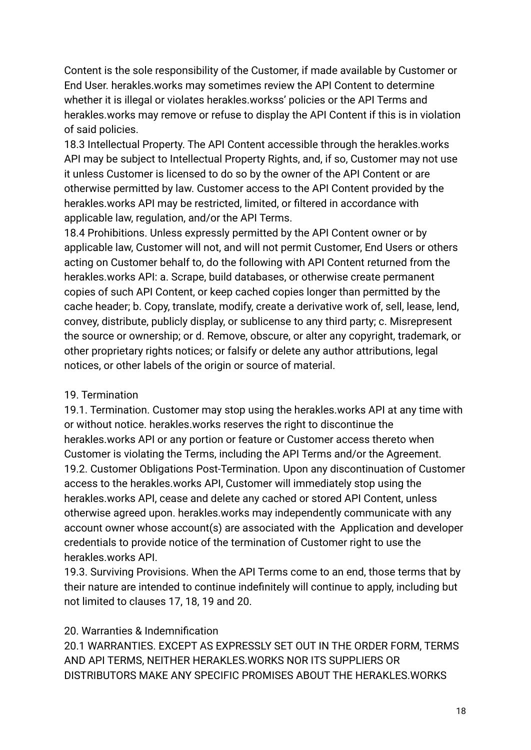Content is the sole responsibility of the Customer, if made available by Customer or End User. herakles.works may sometimes review the API Content to determine whether it is illegal or violates herakles.workss' policies or the API Terms and herakles.works may remove or refuse to display the API Content if this is in violation of said policies.

18.3 Intellectual Property. The API Content accessible through the herakles.works API may be subject to Intellectual Property Rights, and, if so, Customer may not use it unless Customer is licensed to do so by the owner of the API Content or are otherwise permitted by law. Customer access to the API Content provided by the herakles.works API may be restricted, limited, or filtered in accordance with applicable law, regulation, and/or the API Terms.

18.4 Prohibitions. Unless expressly permitted by the API Content owner or by applicable law, Customer will not, and will not permit Customer, End Users or others acting on Customer behalf to, do the following with API Content returned from the herakles.works API: a. Scrape, build databases, or otherwise create permanent copies of such API Content, or keep cached copies longer than permitted by the cache header; b. Copy, translate, modify, create a derivative work of, sell, lease, lend, convey, distribute, publicly display, or sublicense to any third party; c. Misrepresent the source or ownership; or d. Remove, obscure, or alter any copyright, trademark, or other proprietary rights notices; or falsify or delete any author attributions, legal notices, or other labels of the origin or source of material.

#### 19. Termination

19.1. Termination. Customer may stop using the herakles.works API at any time with or without notice. herakles.works reserves the right to discontinue the herakles.works API or any portion or feature or Customer access thereto when Customer is violating the Terms, including the API Terms and/or the Agreement. 19.2. Customer Obligations Post-Termination. Upon any discontinuation of Customer access to the herakles.works API, Customer will immediately stop using the herakles.works API, cease and delete any cached or stored API Content, unless otherwise agreed upon. herakles.works may independently communicate with any account owner whose account(s) are associated with the Application and developer credentials to provide notice of the termination of Customer right to use the herakles.works API.

19.3. Surviving Provisions. When the API Terms come to an end, those terms that by their nature are intended to continue indefinitely will continue to apply, including but not limited to clauses 17, 18, 19 and 20.

# 20. Warranties & Indemnification

20.1 WARRANTIES. EXCEPT AS EXPRESSLY SET OUT IN THE ORDER FORM, TERMS AND API TERMS, NEITHER HERAKLES.WORKS NOR ITS SUPPLIERS OR DISTRIBUTORS MAKE ANY SPECIFIC PROMISES ABOUT THE HERAKLES.WORKS